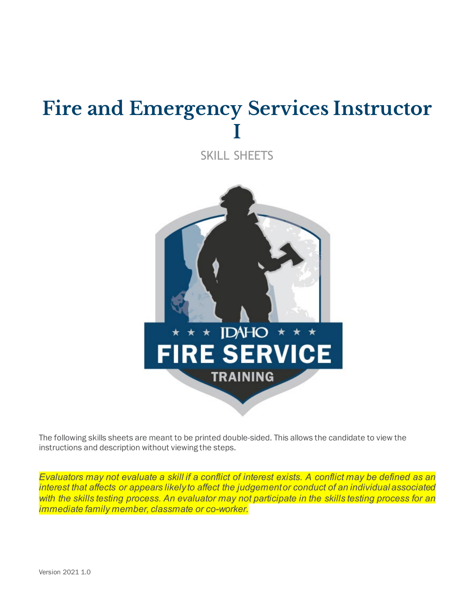SKILL SHEETS



The following skills sheets are meant to be printed double-sided. This allows the candidate to view the instructions and description without viewing the steps.

*Evaluators may not evaluate a skill if a conflict of interest exists. A conflict may be defined as an interest that affects or appears likely to affect the judgement or conduct of an individual associated with the skills testing process. An evaluator may not participate in the skills testing process for an immediate family member, classmate or co-worker.*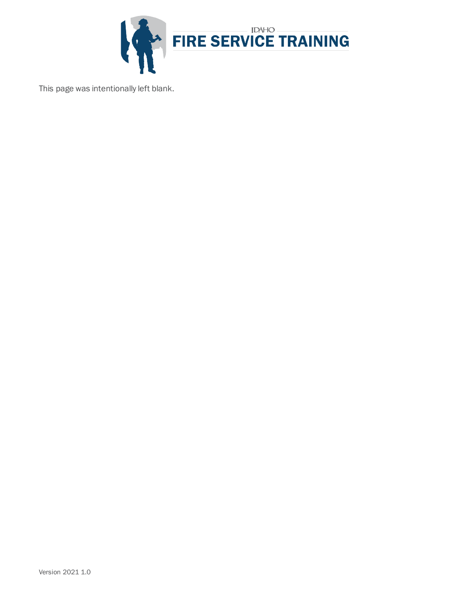

This page was intentionally left blank.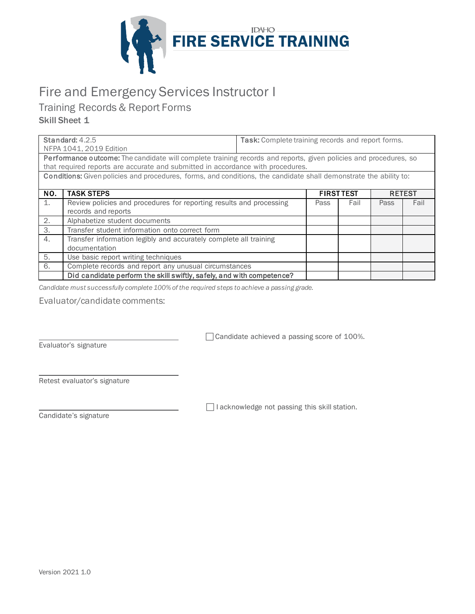

Training Records & Report Forms

Skill Sheet 1

|                | Standard: 4.2.5                                                                                                   | Task: Complete training records and report forms. |                   |      |               |      |
|----------------|-------------------------------------------------------------------------------------------------------------------|---------------------------------------------------|-------------------|------|---------------|------|
|                | NFPA 1041, 2019 Edition                                                                                           |                                                   |                   |      |               |      |
|                | Performance outcome: The candidate will complete training records and reports, given policies and procedures, so  |                                                   |                   |      |               |      |
|                | that required reports are accurate and submitted in accordance with procedures.                                   |                                                   |                   |      |               |      |
|                | Conditions: Given policies and procedures, forms, and conditions, the candidate shall demonstrate the ability to: |                                                   |                   |      |               |      |
|                |                                                                                                                   |                                                   |                   |      |               |      |
| NO.            | <b>TASK STEPS</b>                                                                                                 |                                                   | <b>FIRST TEST</b> |      | <b>RETEST</b> |      |
| $\mathbf{1}$ . | Review policies and procedures for reporting results and processing                                               |                                                   | Pass              | Fail | Pass          | Fail |
|                | records and reports                                                                                               |                                                   |                   |      |               |      |
| 2.             | Alphabetize student documents                                                                                     |                                                   |                   |      |               |      |
| $\mathcal{E}$  | Transfer student information onto correct form                                                                    |                                                   |                   |      |               |      |
| 4.             | Transfer information legibly and accurately complete all training                                                 |                                                   |                   |      |               |      |
|                | documentation                                                                                                     |                                                   |                   |      |               |      |
| 5.             | Use basic report writing techniques                                                                               |                                                   |                   |      |               |      |
| 6.             | Complete records and report any unusual circumstances                                                             |                                                   |                   |      |               |      |
|                | Did candidate perform the skill swiftly, safely, and with competence?                                             |                                                   |                   |      |               |      |

*Candidate must successfully complete 100% of the required steps to achieve a passing grade.*

Evaluator/candidate comments:

Evaluator's signature

□ Candidate achieved a passing score of 100%.

Retest evaluator's signature

Candidate's signature

□ I acknowledge not passing this skill station.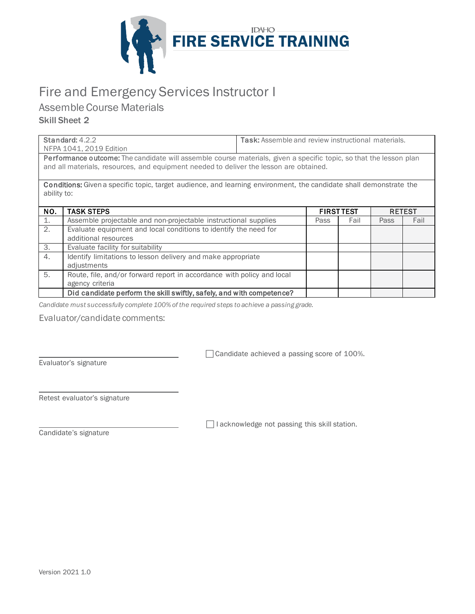

Assemble Course Materials

Skill Sheet 2

| Standard: 4.2.2                                                                                                         | <b>Task:</b> Assemble and review instructional materials. |
|-------------------------------------------------------------------------------------------------------------------------|-----------------------------------------------------------|
| NFPA 1041, 2019 Edition                                                                                                 |                                                           |
| <b>Performance outcome:</b> The candidate will assemble course materials given a specific topic so that the lesson plan |                                                           |

ance outcome: The candidate will assemble course materials, given a specific topic, so and all materials, resources, and equipment needed to deliver the lesson are obtained.

Conditions: Given a specific topic, target audience, and learning environment, the candidate shall demonstrate the ability to:

| NO. | <b>TASK STEPS</b>                                                                         | <b>FIRST TEST</b> |      |      | <b>RETEST</b> |
|-----|-------------------------------------------------------------------------------------------|-------------------|------|------|---------------|
|     | Assemble projectable and non-projectable instructional supplies                           | Pass              | Fail | Pass | Fail          |
| 2.  | Evaluate equipment and local conditions to identify the need for<br>additional resources  |                   |      |      |               |
| 3.  | Evaluate facility for suitability                                                         |                   |      |      |               |
| 4.  | Identify limitations to lesson delivery and make appropriate<br>adjustments               |                   |      |      |               |
| 5.  | Route, file, and/or forward report in accordance with policy and local<br>agency criteria |                   |      |      |               |
|     | Did candidate perform the skill swiftly, safely, and with competence?                     |                   |      |      |               |

*Candidate must successfully complete 100% of the required steps to achieve a passing grade.*

Evaluator/candidate comments:

□ Candidate achieved a passing score of 100%.

Evaluator's signature

Retest evaluator's signature

□ I acknowledge not passing this skill station.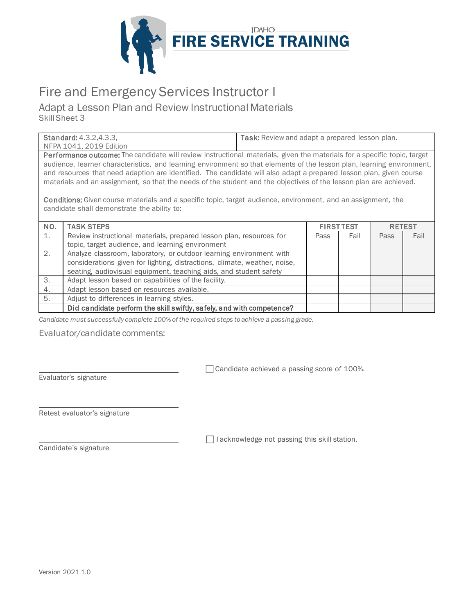

Adapt a Lesson Plan and Review Instructional Materials Skill Sheet 3

| <b>Standard:</b> 4.3.2,4.3.3,                                                                                                   | Task: Review and adapt a prepared lesson plan.                                                                         |
|---------------------------------------------------------------------------------------------------------------------------------|------------------------------------------------------------------------------------------------------------------------|
| NFPA 1041, 2019 Edition                                                                                                         |                                                                                                                        |
| <b>Performance outcome:</b> The candidate will review instructional materials, given the materials for a specific topic, target |                                                                                                                        |
|                                                                                                                                 | audience, learner characteristics, and learning environment so that elements of the lesson plan, learning environment, |
| and resources that need adaption are identified. The candidate will also adapt a prepared lesson plan, given course             |                                                                                                                        |
| materials and an assignment, so that the needs of the student and the objectives of the lesson plan are achieved.               |                                                                                                                        |
|                                                                                                                                 |                                                                                                                        |

Conditions: Given course materials and a specific topic, target audience, environment, and an assignment, the candidate shall demonstrate the ability to:

| NO.              | <b>TASK STEPS</b>                                                         |      | <b>FIRST TEST</b> |      | <b>RETEST</b> |
|------------------|---------------------------------------------------------------------------|------|-------------------|------|---------------|
| $\mathbf{1}$ .   | Review instructional materials, prepared lesson plan, resources for       | Pass | Fail              | Pass | Fail          |
|                  | topic, target audience, and learning environment                          |      |                   |      |               |
| 2.               | Analyze classroom, laboratory, or outdoor learning environment with       |      |                   |      |               |
|                  | considerations given for lighting, distractions, climate, weather, noise, |      |                   |      |               |
|                  | seating, audiovisual equipment, teaching aids, and student safety         |      |                   |      |               |
| 3.               | Adapt lesson based on capabilities of the facility.                       |      |                   |      |               |
| $\overline{4}$ . | Adapt lesson based on resources available.                                |      |                   |      |               |
| 5.               | Adjust to differences in learning styles.                                 |      |                   |      |               |
|                  | Did candidate perform the skill swiftly, safely, and with competence?     |      |                   |      |               |

*Candidate must successfully complete 100% of the required steps to achieve a passing grade.*

Evaluator/candidate comments:

Evaluator's signature

□ Candidate achieved a passing score of 100%.

Retest evaluator's signature

□ I acknowledge not passing this skill station.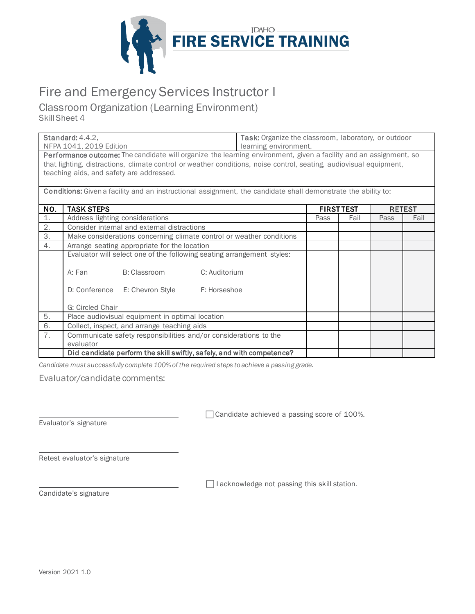

Classroom Organization (Learning Environment)

Skill Sheet 4

| <b>Standard:</b> 4.4.2,                                                                                                                                                                                                                                                             | Task: Organize the classroom, laboratory, or outdoor |
|-------------------------------------------------------------------------------------------------------------------------------------------------------------------------------------------------------------------------------------------------------------------------------------|------------------------------------------------------|
| NFPA 1041, 2019 Edition                                                                                                                                                                                                                                                             | learning environment.                                |
| Performance outcome: The candidate will organize the learning environment, given a facility and an assignment, so<br>that lighting, distractions, climate control or weather conditions, noise control, seating, audiovisual equipment,<br>teaching aids, and safety are addressed. |                                                      |
| Conditions: Given a facility and an instructional assignment, the candidate shall demonstrate the ability to:                                                                                                                                                                       |                                                      |

| NO. | <b>TASK STEPS</b> |                                                             |                                                                        |      | <b>FIRST TEST</b> |      | <b>RETEST</b> |
|-----|-------------------|-------------------------------------------------------------|------------------------------------------------------------------------|------|-------------------|------|---------------|
| 1.  |                   | Address lighting considerations                             |                                                                        | Pass | Fail              | Pass | Fail          |
| 2.  |                   | Consider internal and external distractions                 |                                                                        |      |                   |      |               |
| 3.  |                   |                                                             | Make considerations concerning climate control or weather conditions   |      |                   |      |               |
| 4.  |                   | Arrange seating appropriate for the location                |                                                                        |      |                   |      |               |
|     |                   |                                                             | Evaluator will select one of the following seating arrangement styles: |      |                   |      |               |
|     | A: Fan            | B: Classroom<br>D: Conference E: Chevron Style F: Horseshoe | C: Auditorium                                                          |      |                   |      |               |
| 5.  | G: Circled Chair  |                                                             |                                                                        |      |                   |      |               |
|     |                   | Place audiovisual equipment in optimal location             |                                                                        |      |                   |      |               |
| 6.  |                   | Collect, inspect, and arrange teaching aids                 |                                                                        |      |                   |      |               |
| 7.  | evaluator         |                                                             | Communicate safety responsibilities and/or considerations to the       |      |                   |      |               |
|     |                   |                                                             | Did candidate perform the skill swiftly, safely, and with competence?  |      |                   |      |               |

*Candidate must successfully complete 100% of the required steps to achieve a passing grade.*

#### Evaluator/candidate comments:

Evaluator's signature

□ Candidate achieved a passing score of 100%.

Retest evaluator's signature

Candidate's signature

□ I acknowledge not passing this skill station.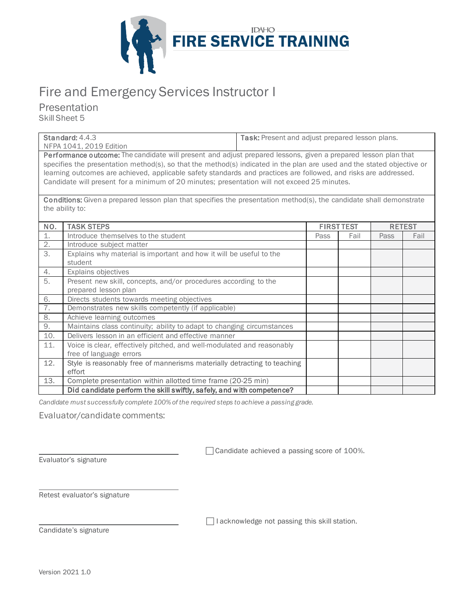

Presentation

Skill Sheet 5

|           | Standard: 4.4.3                                                                                                        | Task: Present and adjust prepared lesson plans. |      |                   |      |               |
|-----------|------------------------------------------------------------------------------------------------------------------------|-------------------------------------------------|------|-------------------|------|---------------|
|           | NFPA 1041, 2019 Edition                                                                                                |                                                 |      |                   |      |               |
|           | Performance outcome: The candidate will present and adjust prepared lessons, given a prepared lesson plan that         |                                                 |      |                   |      |               |
|           | specifies the presentation method(s), so that the method(s) indicated in the plan are used and the stated objective or |                                                 |      |                   |      |               |
|           | learning outcomes are achieved, applicable safety standards and practices are followed, and risks are addressed.       |                                                 |      |                   |      |               |
|           | Candidate will present for a minimum of 20 minutes; presentation will not exceed 25 minutes.                           |                                                 |      |                   |      |               |
|           |                                                                                                                        |                                                 |      |                   |      |               |
|           | Conditions: Given a prepared lesson plan that specifies the presentation method(s), the candidate shall demonstrate    |                                                 |      |                   |      |               |
|           |                                                                                                                        |                                                 |      |                   |      |               |
|           | the ability to:                                                                                                        |                                                 |      |                   |      |               |
|           |                                                                                                                        |                                                 |      |                   |      |               |
| NO.       | <b>TASK STEPS</b>                                                                                                      |                                                 |      | <b>FIRST TEST</b> |      | <b>RETEST</b> |
| $\perp$ . | Introduce themselves to the student                                                                                    |                                                 | Pass | Fail              | Pass | Fail          |
| 2.        | Introduce subject matter                                                                                               |                                                 |      |                   |      |               |
| 3.        | Explains why material is important and how it will be useful to the                                                    |                                                 |      |                   |      |               |
|           | student                                                                                                                |                                                 |      |                   |      |               |
| 4.        | Explains objectives                                                                                                    |                                                 |      |                   |      |               |
| 5.        | Present new skill, concepts, and/or procedures according to the                                                        |                                                 |      |                   |      |               |
|           | prepared lesson plan                                                                                                   |                                                 |      |                   |      |               |

| 3.  | Explains why material is important and how it will be useful to the      |  |  |
|-----|--------------------------------------------------------------------------|--|--|
|     | student                                                                  |  |  |
| 4.  | Explains objectives                                                      |  |  |
| 5.  | Present new skill, concepts, and/or procedures according to the          |  |  |
|     | prepared lesson plan                                                     |  |  |
| 6.  | Directs students towards meeting objectives                              |  |  |
|     | Demonstrates new skills competently (if applicable)                      |  |  |
| 8.  | Achieve learning outcomes                                                |  |  |
| 9.  | Maintains class continuity; ability to adapt to changing circumstances   |  |  |
| 10. | Delivers lesson in an efficient and effective manner                     |  |  |
| 11. | Voice is clear, effectively pitched, and well-modulated and reasonably   |  |  |
|     | free of language errors                                                  |  |  |
| 12. | Style is reasonably free of mannerisms materially detracting to teaching |  |  |
|     | effort                                                                   |  |  |
| 13. | Complete presentation within allotted time frame (20-25 min)             |  |  |
|     | Did candidate perform the skill swiftly, safely, and with competence?    |  |  |

*Candidate must successfully complete 100% of the required steps to achieve a passing grade.*

Evaluator/candidate comments:

Evaluator's signature

□ Candidate achieved a passing score of 100%.

Retest evaluator's signature

Candidate's signature

□ I acknowledge not passing this skill station.

Version 2021 1.0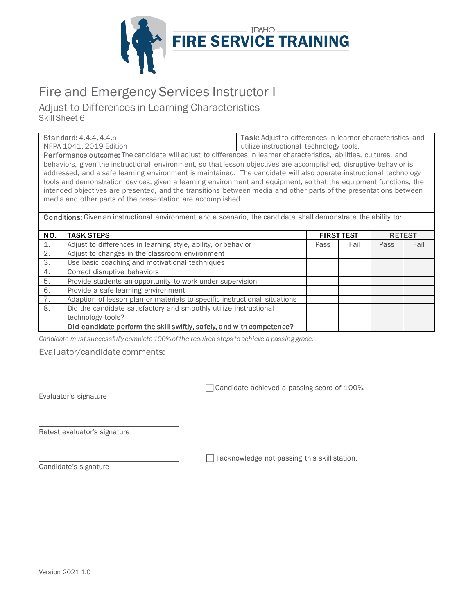

Adjust to Differences in Learning Characteristics Skill Sheet 6

| <b>Standard:</b> 4.4.4.4.4.5 | <b>Task:</b> Adjust to differences in learner characteristics and |
|------------------------------|-------------------------------------------------------------------|
| NFPA 1041, 2019 Edition      | utilize instructional technology tools.                           |

Performance outcome: The candidate will adjust to differences in learner characteristics, abilities, cultures, and behaviors, given the instructional environment, so that lesson objectives are accomplished, disruptive behavior is addressed, and a safe learning environment is maintained. The candidate will also operate instructional technology tools and demonstration devices, given a learning environment and equipment, so that the equipment functions, the intended objectives are presented, and the transitions between media and other parts of the presentations between media and other parts of the presentation are accomplished.

Conditions: Given an instructional environment and a scenario, the candidate shall demonstrate the ability to:

| NO. | <b>TASK STEPS</b>                                                         |      | <b>FIRST TEST</b> |      | <b>RETEST</b> |
|-----|---------------------------------------------------------------------------|------|-------------------|------|---------------|
|     | Adjust to differences in learning style, ability, or behavior             | Pass | Fail              | Pass | Fail          |
| 2.  | Adjust to changes in the classroom environment                            |      |                   |      |               |
| 3.  | Use basic coaching and motivational techniques                            |      |                   |      |               |
| 4.  | Correct disruptive behaviors                                              |      |                   |      |               |
| 5.  | Provide students an opportunity to work under supervision                 |      |                   |      |               |
| 6.  | Provide a safe learning environment                                       |      |                   |      |               |
| 7.  | Adaption of lesson plan or materials to specific instructional situations |      |                   |      |               |
| 8.  | Did the candidate satisfactory and smoothly utilize instructional         |      |                   |      |               |
|     | technology tools?                                                         |      |                   |      |               |
|     | Did candidate perform the skill swiftly, safely, and with competence?     |      |                   |      |               |

*Candidate must successfully complete 100% of the required steps to achieve a passing grade.*

Evaluator/candidate comments:

Evaluator's signature

Candidate achieved a passing score of 100%.

Retest evaluator's signature

 $\Box$  I acknowledge not passing this skill station.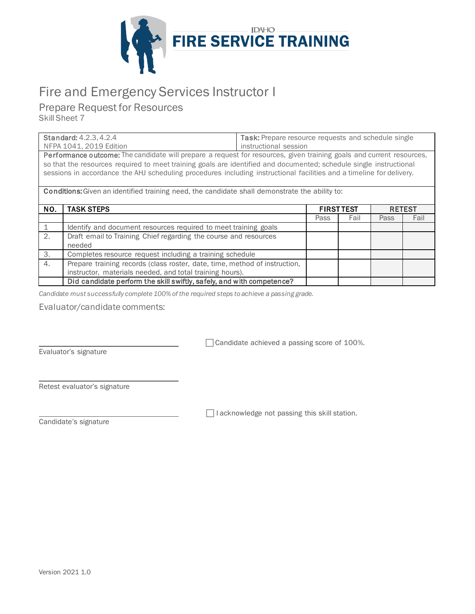

Prepare Request for Resources

Skill Sheet 7

| <b>Standard:</b> 4.2.3, 4.2.4 | <b>Task:</b> Prepare resource requests and schedule single |
|-------------------------------|------------------------------------------------------------|
| NFPA 1041, 2019 Edition       | instructional session                                      |
|                               |                                                            |

Performance outcome: The candidate will prepare a request for resources, given training goals and current resources, so that the resources required to meet training goals are identified and documented; schedule single instructional sessions in accordance the AHJ scheduling procedures including instructional facilities and a timeline for delivery.

Conditions:Given an identified training need, the candidate shall demonstrate the ability to:

| NO. | <b>TASK STEPS</b>                                                                                                                      | <b>FIRST TEST</b> |      | <b>RETEST</b> |      |
|-----|----------------------------------------------------------------------------------------------------------------------------------------|-------------------|------|---------------|------|
|     |                                                                                                                                        | Pass              | Fail | Pass          | Fail |
|     | Identify and document resources required to meet training goals                                                                        |                   |      |               |      |
| 2.  | Draft email to Training Chief regarding the course and resources<br>needed                                                             |                   |      |               |      |
| 3.  | Completes resource request including a training schedule                                                                               |                   |      |               |      |
| 4.  | Prepare training records (class roster, date, time, method of instruction,<br>instructor, materials needed, and total training hours). |                   |      |               |      |
|     | Did candidate perform the skill swiftly, safely, and with competence?                                                                  |                   |      |               |      |

*Candidate must successfully complete 100% of the required steps to achieve a passing grade.*

Evaluator/candidate comments:

Evaluator's signature

Candidate achieved a passing score of 100%.

Retest evaluator's signature

Candidate's signature

□ I acknowledge not passing this skill station.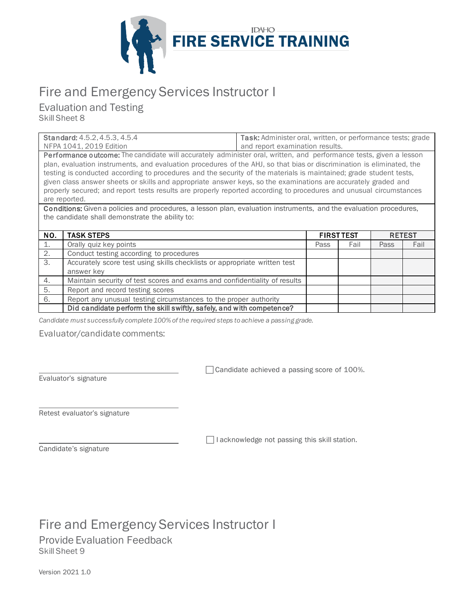

Evaluation and Testing

Skill Sheet 8

| <b>Standard:</b> 4.5.2, 4.5.3, 4.5.4 | <b>Task:</b> Administer oral, written, or performance tests; grade |
|--------------------------------------|--------------------------------------------------------------------|
| NFPA 1041, 2019 Edition              | and report examination results.                                    |

Performance outcome: The candidate will accurately administer oral, written, and performance tests, given a lesson plan, evaluation instruments, and evaluation procedures of the AHJ, so that bias or discrimination is eliminated, the testing is conducted according to procedures and the security of the materials is maintained; grade student tests, given class answer sheets or skills and appropriate answer keys, so the examinations are accurately graded and properly secured; and report tests results are properly reported according to procedures and unusual circumstances are reported.

Conditions: Given a policies and procedures, a lesson plan, evaluation instruments, and the evaluation procedures, the candidate shall demonstrate the ability to:

| NO. | <b>TASK STEPS</b>                                                         | <b>FIRST TEST</b> |      | <b>RETEST</b> |      |
|-----|---------------------------------------------------------------------------|-------------------|------|---------------|------|
| 1.  | Orally quiz key points                                                    | Pass              | Fail | Pass          | Fail |
| 2.  | Conduct testing according to procedures                                   |                   |      |               |      |
| 3.  | Accurately score test using skills checklists or appropriate written test |                   |      |               |      |
|     | answer key                                                                |                   |      |               |      |
| 4.  | Maintain security of test scores and exams and confidentiality of results |                   |      |               |      |
| 5.  | Report and record testing scores                                          |                   |      |               |      |
| 6.  | Report any unusual testing circumstances to the proper authority          |                   |      |               |      |
|     | Did candidate perform the skill swiftly, safely, and with competence?     |                   |      |               |      |

*Candidate must successfully complete 100% of the required steps to achieve a passing grade.*

Evaluator/candidate comments:

Evaluator's signature

Retest evaluator's signature

Candidate's signature

Candidate achieved a passing score of 100%.

 $\Box$  I acknowledge not passing this skill station.

Fire and Emergency Services Instructor I

Provide Evaluation Feedback Skill Sheet 9

Version 2021 1.0